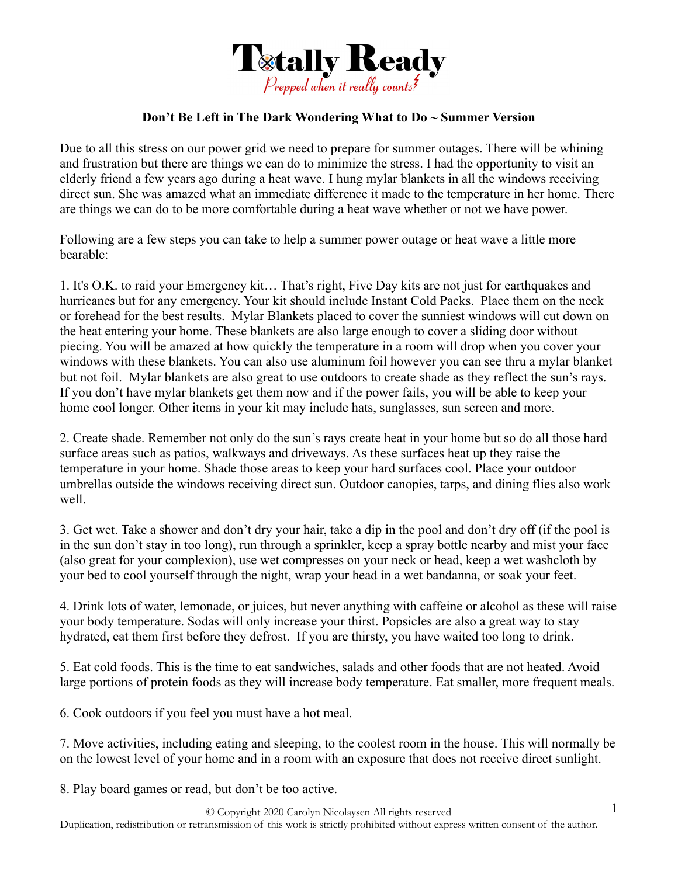

## **Don't Be Left in The Dark Wondering What to Do ~ Summer Version**

Due to all this stress on our power grid we need to prepare for summer outages. There will be whining and frustration but there are things we can do to minimize the stress. I had the opportunity to visit an elderly friend a few years ago during a heat wave. I hung mylar blankets in all the windows receiving direct sun. She was amazed what an immediate difference it made to the temperature in her home. There are things we can do to be more comfortable during a heat wave whether or not we have power.

Following are a few steps you can take to help a summer power outage or heat wave a little more bearable:

1. It's O.K. to raid your Emergency kit… That's right, Five Day kits are not just for earthquakes and hurricanes but for any emergency. Your kit should include Instant Cold Packs. Place them on the neck or forehead for the best results. Mylar Blankets placed to cover the sunniest windows will cut down on the heat entering your home. These blankets are also large enough to cover a sliding door without piecing. You will be amazed at how quickly the temperature in a room will drop when you cover your windows with these blankets. You can also use aluminum foil however you can see thru a mylar blanket but not foil. Mylar blankets are also great to use outdoors to create shade as they reflect the sun's rays. If you don't have mylar blankets get them now and if the power fails, you will be able to keep your home cool longer. Other items in your kit may include hats, sunglasses, sun screen and more.

2. Create shade. Remember not only do the sun's rays create heat in your home but so do all those hard surface areas such as patios, walkways and driveways. As these surfaces heat up they raise the temperature in your home. Shade those areas to keep your hard surfaces cool. Place your outdoor umbrellas outside the windows receiving direct sun. Outdoor canopies, tarps, and dining flies also work well.

3. Get wet. Take a shower and don't dry your hair, take a dip in the pool and don't dry off (if the pool is in the sun don't stay in too long), run through a sprinkler, keep a spray bottle nearby and mist your face (also great for your complexion), use wet compresses on your neck or head, keep a wet washcloth by your bed to cool yourself through the night, wrap your head in a wet bandanna, or soak your feet.

4. Drink lots of water, lemonade, or juices, but never anything with caffeine or alcohol as these will raise your body temperature. Sodas will only increase your thirst. Popsicles are also a great way to stay hydrated, eat them first before they defrost. If you are thirsty, you have waited too long to drink.

5. Eat cold foods. This is the time to eat sandwiches, salads and other foods that are not heated. Avoid large portions of protein foods as they will increase body temperature. Eat smaller, more frequent meals.

6. Cook outdoors if you feel you must have a hot meal.

7. Move activities, including eating and sleeping, to the coolest room in the house. This will normally be on the lowest level of your home and in a room with an exposure that does not receive direct sunlight.

8. Play board games or read, but don't be too active.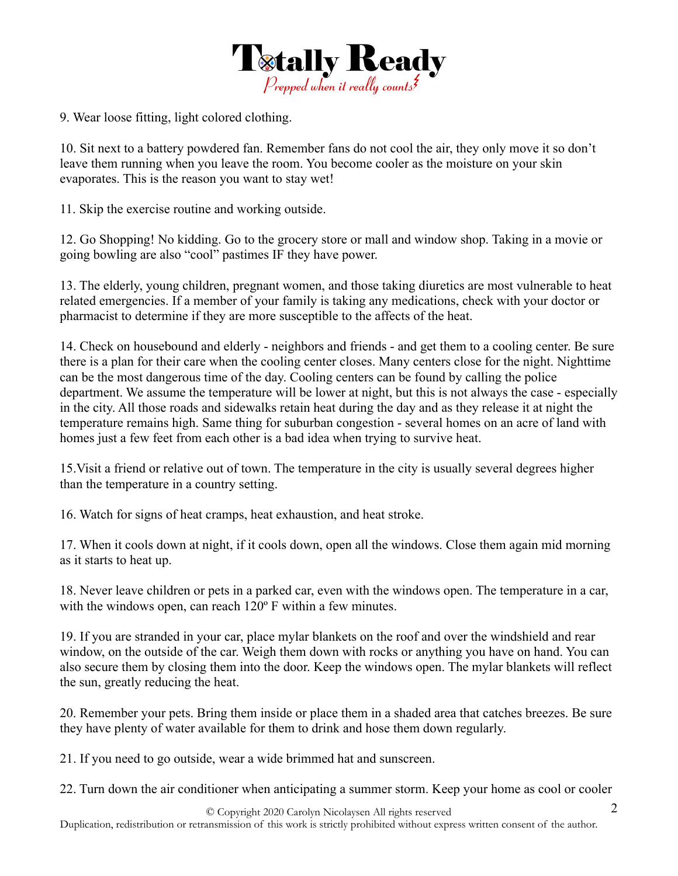

9. Wear loose fitting, light colored clothing.

10. Sit next to a battery powdered fan. Remember fans do not cool the air, they only move it so don't leave them running when you leave the room. You become cooler as the moisture on your skin evaporates. This is the reason you want to stay wet!

11. Skip the exercise routine and working outside.

12. Go Shopping! No kidding. Go to the grocery store or mall and window shop. Taking in a movie or going bowling are also "cool" pastimes IF they have power.

13. The elderly, young children, pregnant women, and those taking diuretics are most vulnerable to heat related emergencies. If a member of your family is taking any medications, check with your doctor or pharmacist to determine if they are more susceptible to the affects of the heat.

14. Check on housebound and elderly - neighbors and friends - and get them to a cooling center. Be sure there is a plan for their care when the cooling center closes. Many centers close for the night. Nighttime can be the most dangerous time of the day. Cooling centers can be found by calling the police department. We assume the temperature will be lower at night, but this is not always the case - especially in the city. All those roads and sidewalks retain heat during the day and as they release it at night the temperature remains high. Same thing for suburban congestion - several homes on an acre of land with homes just a few feet from each other is a bad idea when trying to survive heat.

15.Visit a friend or relative out of town. The temperature in the city is usually several degrees higher than the temperature in a country setting.

16. Watch for signs of heat cramps, heat exhaustion, and heat stroke.

17. When it cools down at night, if it cools down, open all the windows. Close them again mid morning as it starts to heat up.

18. Never leave children or pets in a parked car, even with the windows open. The temperature in a car, with the windows open, can reach 120° F within a few minutes.

19. If you are stranded in your car, place mylar blankets on the roof and over the windshield and rear window, on the outside of the car. Weigh them down with rocks or anything you have on hand. You can also secure them by closing them into the door. Keep the windows open. The mylar blankets will reflect the sun, greatly reducing the heat.

20. Remember your pets. Bring them inside or place them in a shaded area that catches breezes. Be sure they have plenty of water available for them to drink and hose them down regularly.

21. If you need to go outside, wear a wide brimmed hat and sunscreen.

22. Turn down the air conditioner when anticipating a summer storm. Keep your home as cool or cooler